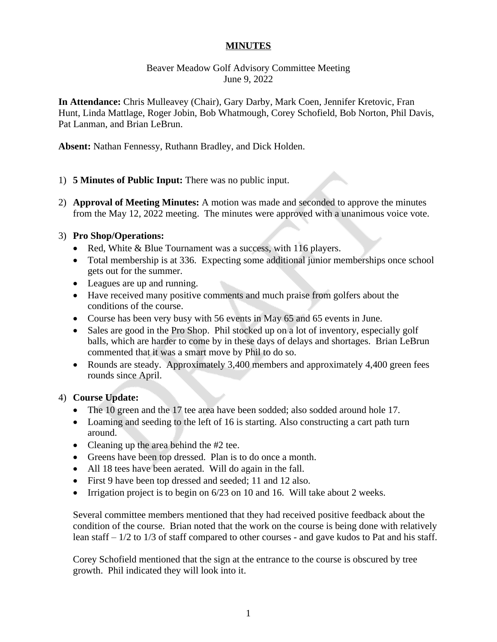### **MINUTES**

# Beaver Meadow Golf Advisory Committee Meeting June 9, 2022

**In Attendance:** Chris Mulleavey (Chair), Gary Darby, Mark Coen, Jennifer Kretovic, Fran Hunt, Linda Mattlage, Roger Jobin, Bob Whatmough, Corey Schofield, Bob Norton, Phil Davis, Pat Lanman, and Brian LeBrun.

**Absent:** Nathan Fennessy, Ruthann Bradley, and Dick Holden.

### 1) **5 Minutes of Public Input:** There was no public input.

2) **Approval of Meeting Minutes:** A motion was made and seconded to approve the minutes from the May 12, 2022 meeting. The minutes were approved with a unanimous voice vote.

### 3) **Pro Shop/Operations:**

- Red, White & Blue Tournament was a success, with 116 players.
- Total membership is at 336. Expecting some additional junior memberships once school gets out for the summer.
- Leagues are up and running.
- Have received many positive comments and much praise from golfers about the conditions of the course.
- Course has been very busy with 56 events in May 65 and 65 events in June.
- Sales are good in the Pro Shop. Phil stocked up on a lot of inventory, especially golf balls, which are harder to come by in these days of delays and shortages. Brian LeBrun commented that it was a smart move by Phil to do so.
- Rounds are steady. Approximately 3,400 members and approximately 4,400 green fees rounds since April.

# 4) **Course Update:**

- The 10 green and the 17 tee area have been sodded; also sodded around hole 17.
- Loaming and seeding to the left of 16 is starting. Also constructing a cart path turn around.
- Cleaning up the area behind the #2 tee.
- Greens have been top dressed. Plan is to do once a month.
- All 18 tees have been aerated. Will do again in the fall.
- First 9 have been top dressed and seeded; 11 and 12 also.
- Irrigation project is to begin on 6/23 on 10 and 16. Will take about 2 weeks.

Several committee members mentioned that they had received positive feedback about the condition of the course. Brian noted that the work on the course is being done with relatively lean staff – 1/2 to 1/3 of staff compared to other courses - and gave kudos to Pat and his staff.

Corey Schofield mentioned that the sign at the entrance to the course is obscured by tree growth. Phil indicated they will look into it.